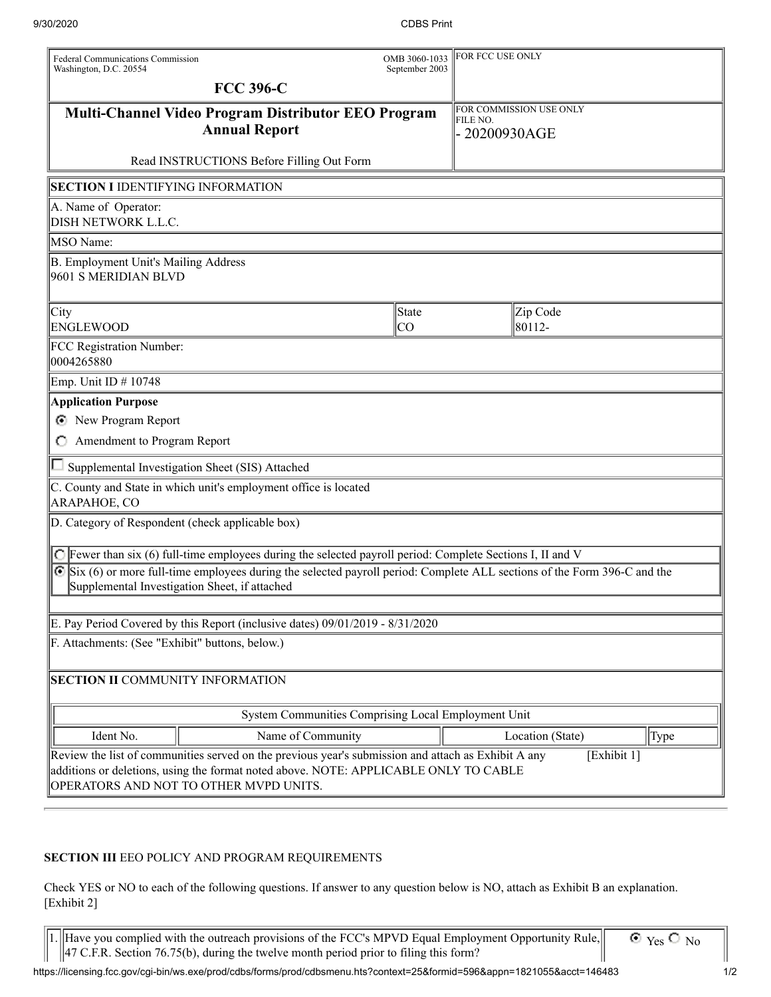| <b>Federal Communications Commission</b><br>Washington, D.C. 20554                                                                                                                                                                                   |                                                                                                                     | OMB 3060-1033<br>September 2003 | FOR FCC USE ONLY                                     |                    |      |  |
|------------------------------------------------------------------------------------------------------------------------------------------------------------------------------------------------------------------------------------------------------|---------------------------------------------------------------------------------------------------------------------|---------------------------------|------------------------------------------------------|--------------------|------|--|
|                                                                                                                                                                                                                                                      | <b>FCC 396-C</b>                                                                                                    |                                 |                                                      |                    |      |  |
| Multi-Channel Video Program Distributor EEO Program<br><b>Annual Report</b>                                                                                                                                                                          |                                                                                                                     |                                 | FOR COMMISSION USE ONLY<br>FILE NO.<br>- 20200930AGE |                    |      |  |
|                                                                                                                                                                                                                                                      | Read INSTRUCTIONS Before Filling Out Form                                                                           |                                 |                                                      |                    |      |  |
| <b>SECTION I IDENTIFYING INFORMATION</b>                                                                                                                                                                                                             |                                                                                                                     |                                 |                                                      |                    |      |  |
| A. Name of Operator:<br>DISH NETWORK L.L.C.                                                                                                                                                                                                          |                                                                                                                     |                                 |                                                      |                    |      |  |
| <b>MSO</b> Name:                                                                                                                                                                                                                                     |                                                                                                                     |                                 |                                                      |                    |      |  |
| B. Employment Unit's Mailing Address<br>9601 S MERIDIAN BLVD                                                                                                                                                                                         |                                                                                                                     |                                 |                                                      |                    |      |  |
| City<br><b>ENGLEWOOD</b>                                                                                                                                                                                                                             |                                                                                                                     | State<br>lco                    |                                                      | Zip Code<br>80112- |      |  |
| FCC Registration Number:<br>0004265880                                                                                                                                                                                                               |                                                                                                                     |                                 |                                                      |                    |      |  |
| Emp. Unit ID # 10748                                                                                                                                                                                                                                 |                                                                                                                     |                                 |                                                      |                    |      |  |
| <b>Application Purpose</b>                                                                                                                                                                                                                           |                                                                                                                     |                                 |                                                      |                    |      |  |
| New Program Report<br>O.                                                                                                                                                                                                                             |                                                                                                                     |                                 |                                                      |                    |      |  |
| Amendment to Program Report                                                                                                                                                                                                                          |                                                                                                                     |                                 |                                                      |                    |      |  |
|                                                                                                                                                                                                                                                      | Supplemental Investigation Sheet (SIS) Attached                                                                     |                                 |                                                      |                    |      |  |
| ARAPAHOE, CO                                                                                                                                                                                                                                         | C. County and State in which unit's employment office is located                                                    |                                 |                                                      |                    |      |  |
| D. Category of Respondent (check applicable box)                                                                                                                                                                                                     |                                                                                                                     |                                 |                                                      |                    |      |  |
|                                                                                                                                                                                                                                                      | $\bigcirc$ Fewer than six (6) full-time employees during the selected payroll period: Complete Sections I, II and V |                                 |                                                      |                    |      |  |
| Six (6) or more full-time employees during the selected payroll period: Complete ALL sections of the Form 396-C and the<br>Supplemental Investigation Sheet, if attached                                                                             |                                                                                                                     |                                 |                                                      |                    |      |  |
| E. Pay Period Covered by this Report (inclusive dates) 09/01/2019 - 8/31/2020                                                                                                                                                                        |                                                                                                                     |                                 |                                                      |                    |      |  |
| F. Attachments: (See "Exhibit" buttons, below.)                                                                                                                                                                                                      |                                                                                                                     |                                 |                                                      |                    |      |  |
| SECTION II COMMUNITY INFORMATION                                                                                                                                                                                                                     |                                                                                                                     |                                 |                                                      |                    |      |  |
| System Communities Comprising Local Employment Unit                                                                                                                                                                                                  |                                                                                                                     |                                 |                                                      |                    |      |  |
| Ident No.                                                                                                                                                                                                                                            | Name of Community                                                                                                   |                                 |                                                      | Location (State)   | Type |  |
| Review the list of communities served on the previous year's submission and attach as Exhibit A any<br>[Exhibit 1]<br>additions or deletions, using the format noted above. NOTE: APPLICABLE ONLY TO CABLE<br>OPERATORS AND NOT TO OTHER MVPD UNITS. |                                                                                                                     |                                 |                                                      |                    |      |  |

## **SECTION III** EEO POLICY AND PROGRAM REQUIREMENTS

Check YES or NO to each of the following questions. If answer to any question below is NO, attach as Exhibit B an explanation. [Exhibit 2]

1. Have you complied with the outreach provisions of the FCC's MPVD Equal Employment Opportunity Rule,  $\parallel$ 47 C.F.R. Section 76.75(b), during the twelve month period prior to filing this form? II

 $\overline{O$  Yes  $O$  No

https://licensing.fcc.gov/cgi-bin/ws.exe/prod/cdbs/forms/prod/cdbsmenu.hts?context=25&formid=596&appn=1821055&acct=146483 1/2